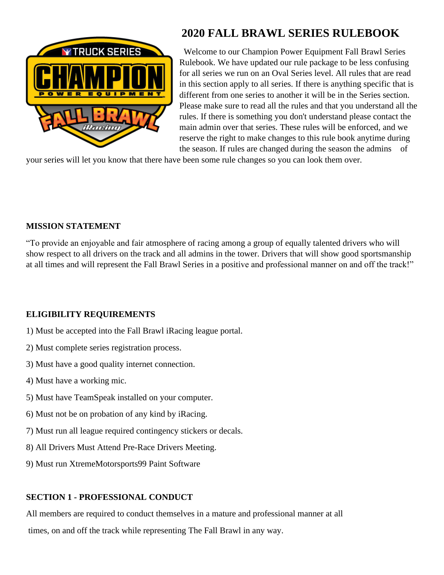

# **2020 FALL BRAWL SERIES RULEBOOK**

 Welcome to our Champion Power Equipment Fall Brawl Series Rulebook. We have updated our rule package to be less confusing for all series we run on an Oval Series level. All rules that are read in this section apply to all series. If there is anything specific that is different from one series to another it will be in the Series section. Please make sure to read all the rules and that you understand all the rules. If there is something you don't understand please contact the main admin over that series. These rules will be enforced, and we reserve the right to make changes to this rule book anytime during the season. If rules are changed during the season the admins of

your series will let you know that there have been some rule changes so you can look them over.

## **MISSION STATEMENT**

"To provide an enjoyable and fair atmosphere of racing among a group of equally talented drivers who will show respect to all drivers on the track and all admins in the tower. Drivers that will show good sportsmanship at all times and will represent the Fall Brawl Series in a positive and professional manner on and off the track!"

# **ELIGIBILITY REQUIREMENTS**

- 1) Must be accepted into the Fall Brawl iRacing league portal.
- 2) Must complete series registration process.
- 3) Must have a good quality internet connection.
- 4) Must have a working mic.
- 5) Must have TeamSpeak installed on your computer.
- 6) Must not be on probation of any kind by iRacing.
- 7) Must run all league required contingency stickers or decals.
- 8) All Drivers Must Attend Pre-Race Drivers Meeting.
- 9) Must run XtremeMotorsports99 Paint Software

# **SECTION 1 - PROFESSIONAL CONDUCT**

All members are required to conduct themselves in a mature and professional manner at all times, on and off the track while representing The Fall Brawl in any way.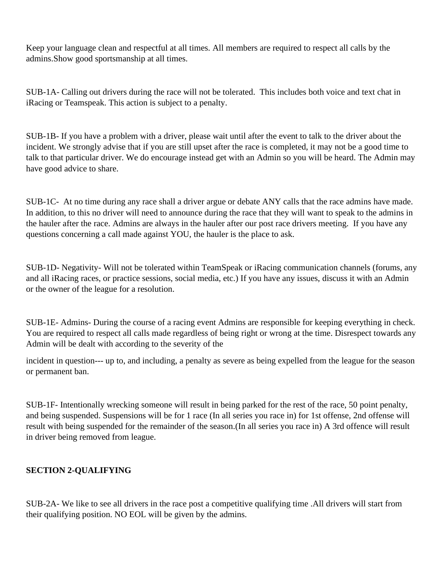Keep your language clean and respectful at all times. All members are required to respect all calls by the admins.Show good sportsmanship at all times.

SUB-1A- Calling out drivers during the race will not be tolerated. This includes both voice and text chat in iRacing or Teamspeak. This action is subject to a penalty.

SUB-1B- If you have a problem with a driver, please wait until after the event to talk to the driver about the incident. We strongly advise that if you are still upset after the race is completed, it may not be a good time to talk to that particular driver. We do encourage instead get with an Admin so you will be heard. The Admin may have good advice to share.

SUB-1C- At no time during any race shall a driver argue or debate ANY calls that the race admins have made. In addition, to this no driver will need to announce during the race that they will want to speak to the admins in the hauler after the race. Admins are always in the hauler after our post race drivers meeting. If you have any questions concerning a call made against YOU, the hauler is the place to ask.

SUB-1D- Negativity- Will not be tolerated within TeamSpeak or iRacing communication channels (forums, any and all iRacing races, or practice sessions, social media, etc.) If you have any issues, discuss it with an Admin or the owner of the league for a resolution.

SUB-1E- Admins- During the course of a racing event Admins are responsible for keeping everything in check. You are required to respect all calls made regardless of being right or wrong at the time. Disrespect towards any Admin will be dealt with according to the severity of the

incident in question--- up to, and including, a penalty as severe as being expelled from the league for the season or permanent ban.

SUB-1F- Intentionally wrecking someone will result in being parked for the rest of the race, 50 point penalty, and being suspended. Suspensions will be for 1 race (In all series you race in) for 1st offense, 2nd offense will result with being suspended for the remainder of the season.(In all series you race in) A 3rd offence will result in driver being removed from league.

# **SECTION 2-QUALIFYING**

SUB-2A- We like to see all drivers in the race post a competitive qualifying time .All drivers will start from their qualifying position. NO EOL will be given by the admins.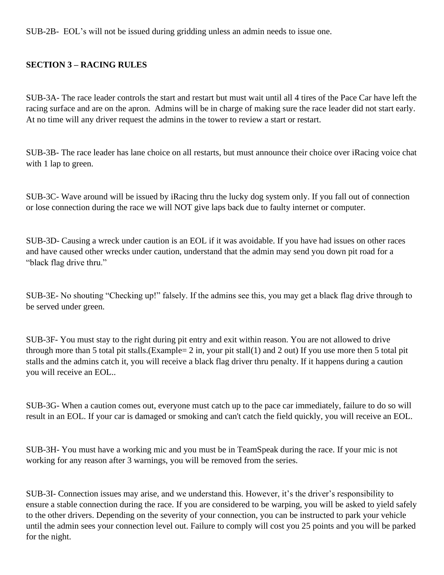SUB-2B- EOL's will not be issued during gridding unless an admin needs to issue one.

## **SECTION 3 – RACING RULES**

SUB-3A- The race leader controls the start and restart but must wait until all 4 tires of the Pace Car have left the racing surface and are on the apron. Admins will be in charge of making sure the race leader did not start early. At no time will any driver request the admins in the tower to review a start or restart.

SUB-3B- The race leader has lane choice on all restarts, but must announce their choice over iRacing voice chat with 1 lap to green.

SUB-3C- Wave around will be issued by iRacing thru the lucky dog system only. If you fall out of connection or lose connection during the race we will NOT give laps back due to faulty internet or computer.

SUB-3D- Causing a wreck under caution is an EOL if it was avoidable. If you have had issues on other races and have caused other wrecks under caution, understand that the admin may send you down pit road for a "black flag drive thru."

SUB-3E- No shouting "Checking up!" falsely. If the admins see this, you may get a black flag drive through to be served under green.

SUB-3F- You must stay to the right during pit entry and exit within reason. You are not allowed to drive through more than 5 total pit stalls.(Example= 2 in, your pit stall(1) and 2 out) If you use more then 5 total pit stalls and the admins catch it, you will receive a black flag driver thru penalty. If it happens during a caution you will receive an EOL..

SUB-3G- When a caution comes out, everyone must catch up to the pace car immediately, failure to do so will result in an EOL. If your car is damaged or smoking and can't catch the field quickly, you will receive an EOL.

SUB-3H- You must have a working mic and you must be in TeamSpeak during the race. If your mic is not working for any reason after 3 warnings, you will be removed from the series.

SUB-3I- Connection issues may arise, and we understand this. However, it's the driver's responsibility to ensure a stable connection during the race. If you are considered to be warping, you will be asked to yield safely to the other drivers. Depending on the severity of your connection, you can be instructed to park your vehicle until the admin sees your connection level out. Failure to comply will cost you 25 points and you will be parked for the night.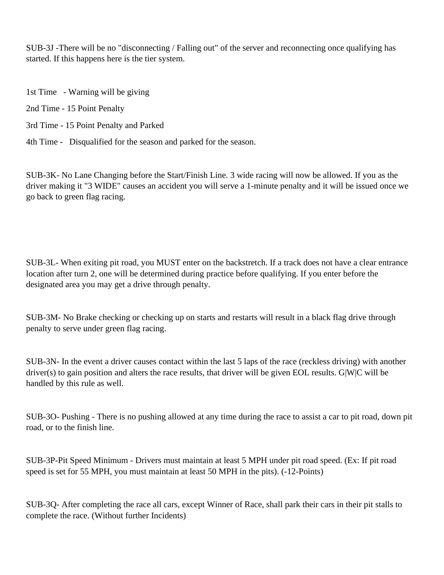SUB-3J -There will be no "disconnecting / Falling out" of the server and reconnecting once qualifying has started. If this happens here is the tier system.

1st Time - Warning will be giving

2nd Time - 15 Point Penalty

3rd Time - 15 Point Penalty and Parked

4th Time - Disqualified for the season and parked for the season.

SUB-3K- No Lane Changing before the Start/Finish Line. 3 wide racing will now be allowed. If you as the driver making it "3 WIDE" causes an accident you will serve a 1-minute penalty and it will be issued once we go back to green flag racing.

SUB-3L- When exiting pit road, you MUST enter on the backstretch. If a track does not have a clear entrance location after turn 2, one will be determined during practice before qualifying. If you enter before the designated area you may get a drive through penalty.

SUB-3M- No Brake checking or checking up on starts and restarts will result in a black flag drive through penalty to serve under green flag racing.

SUB-3N- In the event a driver causes contact within the last 5 laps of the race (reckless driving) with another driver(s) to gain position and alters the race results, that driver will be given EOL results. G|W|C will be handled by this rule as well.

SUB-3O- Pushing - There is no pushing allowed at any time during the race to assist a car to pit road, down pit road, or to the finish line.

SUB-3P-Pit Speed Minimum - Drivers must maintain at least 5 MPH under pit road speed. (Ex: If pit road speed is set for 55 MPH, you must maintain at least 50 MPH in the pits). (-12-Points)

SUB-3Q- After completing the race all cars, except Winner of Race, shall park their cars in their pit stalls to complete the race. (Without further Incidents)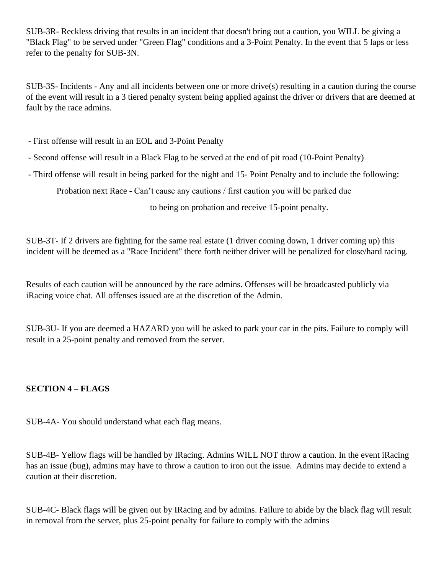SUB-3R- Reckless driving that results in an incident that doesn't bring out a caution, you WILL be giving a "Black Flag" to be served under "Green Flag" conditions and a 3-Point Penalty. In the event that 5 laps or less refer to the penalty for SUB-3N.

SUB-3S- Incidents - Any and all incidents between one or more drive(s) resulting in a caution during the course of the event will result in a 3 tiered penalty system being applied against the driver or drivers that are deemed at fault by the race admins.

- First offense will result in an EOL and 3-Point Penalty

- Second offense will result in a Black Flag to be served at the end of pit road (10-Point Penalty)

- Third offense will result in being parked for the night and 15- Point Penalty and to include the following:

Probation next Race - Can't cause any cautions / first caution you will be parked due

to being on probation and receive 15-point penalty.

SUB-3T- If 2 drivers are fighting for the same real estate (1 driver coming down, 1 driver coming up) this incident will be deemed as a "Race Incident" there forth neither driver will be penalized for close/hard racing.

Results of each caution will be announced by the race admins. Offenses will be broadcasted publicly via iRacing voice chat. All offenses issued are at the discretion of the Admin.

SUB-3U- If you are deemed a HAZARD you will be asked to park your car in the pits. Failure to comply will result in a 25-point penalty and removed from the server.

## **SECTION 4 – FLAGS**

SUB-4A- You should understand what each flag means.

SUB-4B- Yellow flags will be handled by IRacing. Admins WILL NOT throw a caution. In the event iRacing has an issue (bug), admins may have to throw a caution to iron out the issue. Admins may decide to extend a caution at their discretion.

SUB-4C- Black flags will be given out by IRacing and by admins. Failure to abide by the black flag will result in removal from the server, plus 25-point penalty for failure to comply with the admins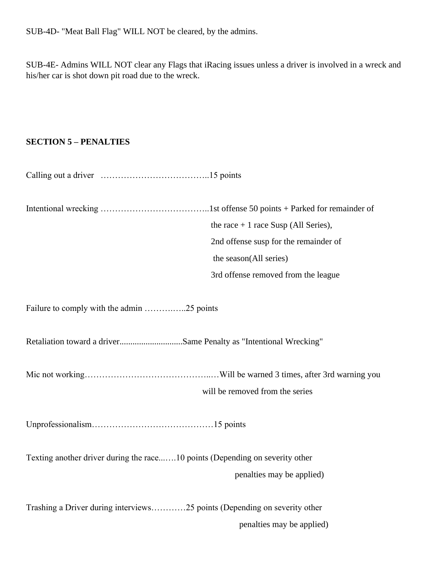SUB-4D- "Meat Ball Flag" WILL NOT be cleared, by the admins.

SUB-4E- Admins WILL NOT clear any Flags that iRacing issues unless a driver is involved in a wreck and his/her car is shot down pit road due to the wreck.

# **SECTION 5 – PENALTIES**

|                                                                              | the race $+1$ race Susp (All Series), |
|------------------------------------------------------------------------------|---------------------------------------|
|                                                                              | 2nd offense susp for the remainder of |
|                                                                              | the season(All series)                |
|                                                                              | 3rd offense removed from the league   |
| Failure to comply with the admin 25 points                                   |                                       |
| Retaliation toward a driverSame Penalty as "Intentional Wrecking"            |                                       |
|                                                                              |                                       |
|                                                                              | will be removed from the series       |
|                                                                              |                                       |
| Texting another driver during the race10 points (Depending on severity other |                                       |
|                                                                              | penalties may be applied)             |
| Trashing a Driver during interviews25 points (Depending on severity other    |                                       |
|                                                                              | penalties may be applied)             |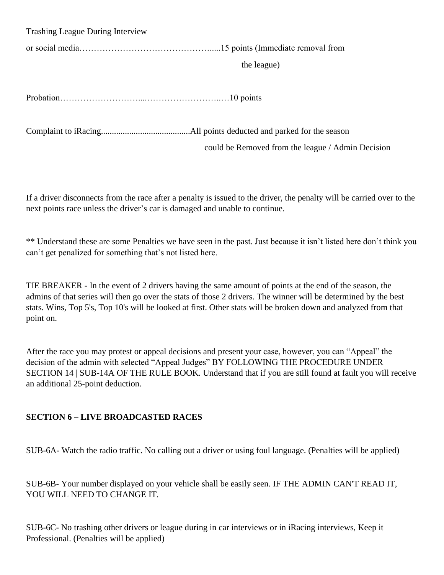Trashing League During Interview

or social media……………………………………….....15 points (Immediate removal from

the league)

Probation………………………....……………………..…10 points

Complaint to iRacing.........................................All points deducted and parked for the season

could be Removed from the league / Admin Decision

If a driver disconnects from the race after a penalty is issued to the driver, the penalty will be carried over to the next points race unless the driver's car is damaged and unable to continue.

\*\* Understand these are some Penalties we have seen in the past. Just because it isn't listed here don't think you can't get penalized for something that's not listed here.

TIE BREAKER - In the event of 2 drivers having the same amount of points at the end of the season, the admins of that series will then go over the stats of those 2 drivers. The winner will be determined by the best stats. Wins, Top 5's, Top 10's will be looked at first. Other stats will be broken down and analyzed from that point on.

After the race you may protest or appeal decisions and present your case, however, you can "Appeal" the decision of the admin with selected "Appeal Judges" BY FOLLOWING THE PROCEDURE UNDER SECTION 14 | SUB-14A OF THE RULE BOOK. Understand that if you are still found at fault you will receive an additional 25-point deduction.

# **SECTION 6 – LIVE BROADCASTED RACES**

SUB-6A- Watch the radio traffic. No calling out a driver or using foul language. (Penalties will be applied)

SUB-6B- Your number displayed on your vehicle shall be easily seen. IF THE ADMIN CAN'T READ IT, YOU WILL NEED TO CHANGE IT.

SUB-6C- No trashing other drivers or league during in car interviews or in iRacing interviews, Keep it Professional. (Penalties will be applied)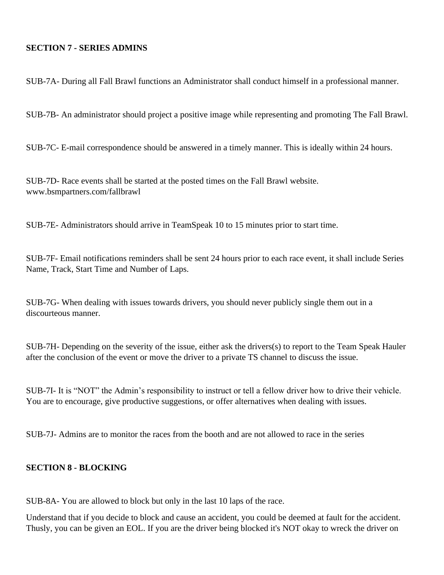## **SECTION 7 - SERIES ADMINS**

SUB-7A- During all Fall Brawl functions an Administrator shall conduct himself in a professional manner.

SUB-7B- An administrator should project a positive image while representing and promoting The Fall Brawl.

SUB-7C- E-mail correspondence should be answered in a timely manner. This is ideally within 24 hours.

SUB-7D- Race events shall be started at the posted times on the Fall Brawl website. www.bsmpartners.com/fallbrawl

SUB-7E- Administrators should arrive in TeamSpeak 10 to 15 minutes prior to start time.

SUB-7F- Email notifications reminders shall be sent 24 hours prior to each race event, it shall include Series Name, Track, Start Time and Number of Laps.

SUB-7G- When dealing with issues towards drivers, you should never publicly single them out in a discourteous manner.

SUB-7H- Depending on the severity of the issue, either ask the drivers(s) to report to the Team Speak Hauler after the conclusion of the event or move the driver to a private TS channel to discuss the issue.

SUB-7I- It is "NOT" the Admin's responsibility to instruct or tell a fellow driver how to drive their vehicle. You are to encourage, give productive suggestions, or offer alternatives when dealing with issues.

SUB-7J- Admins are to monitor the races from the booth and are not allowed to race in the series

#### **SECTION 8 - BLOCKING**

SUB-8A- You are allowed to block but only in the last 10 laps of the race.

Understand that if you decide to block and cause an accident, you could be deemed at fault for the accident. Thusly, you can be given an EOL. If you are the driver being blocked it's NOT okay to wreck the driver on